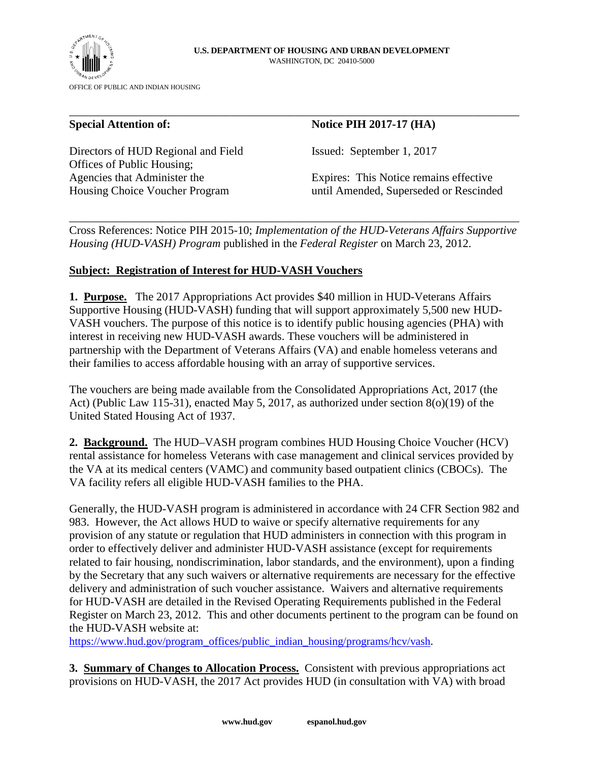

Directors of HUD Regional and Field Issued: September 1, 2017 Offices of Public Housing;

## **Special Attention of:** Notice PIH 2017-17 (HA)

Agencies that Administer the Expires: This Notice remains effective Housing Choice Voucher Program until Amended, Superseded or Rescinded

Cross References: Notice PIH 2015-10; *Implementation of the HUD-Veterans Affairs Supportive Housing (HUD-VASH) Program* published in the *Federal Register* on March 23, 2012.

\_\_\_\_\_\_\_\_\_\_\_\_\_\_\_\_\_\_\_\_\_\_\_\_\_\_\_\_\_\_\_\_\_\_\_\_\_\_\_\_\_\_\_\_\_\_\_\_\_\_\_\_\_\_\_\_\_\_\_\_\_\_\_\_\_\_\_\_\_\_\_\_\_\_\_\_\_\_

\_\_\_\_\_\_\_\_\_\_\_\_\_\_\_\_\_\_\_\_\_\_\_\_\_\_\_\_\_\_\_\_\_\_\_\_\_\_\_\_\_\_\_\_\_\_\_\_\_\_\_\_\_\_\_\_\_\_\_\_\_\_\_\_\_\_\_\_\_\_\_\_\_\_\_\_\_\_

## **Subject: Registration of Interest for HUD-VASH Vouchers**

**1. Purpose.** The 2017 Appropriations Act provides \$40 million in HUD-Veterans Affairs Supportive Housing (HUD-VASH) funding that will support approximately 5,500 new HUD-VASH vouchers. The purpose of this notice is to identify public housing agencies (PHA) with interest in receiving new HUD-VASH awards. These vouchers will be administered in partnership with the Department of Veterans Affairs (VA) and enable homeless veterans and their families to access affordable housing with an array of supportive services.

The vouchers are being made available from the Consolidated Appropriations Act, 2017 (the Act) (Public Law 115-31), enacted May 5, 2017, as authorized under section 8(o)(19) of the United Stated Housing Act of 1937.

**2. Background.** The HUD–VASH program combines HUD Housing Choice Voucher (HCV) rental assistance for homeless Veterans with case management and clinical services provided by the VA at its medical centers (VAMC) and community based outpatient clinics (CBOCs). The VA facility refers all eligible HUD-VASH families to the PHA.

Generally, the HUD-VASH program is administered in accordance with 24 CFR Section 982 and 983. However, the Act allows HUD to waive or specify alternative requirements for any provision of any statute or regulation that HUD administers in connection with this program in order to effectively deliver and administer HUD-VASH assistance (except for requirements related to fair housing, nondiscrimination, labor standards, and the environment), upon a finding by the Secretary that any such waivers or alternative requirements are necessary for the effective delivery and administration of such voucher assistance. Waivers and alternative requirements for HUD-VASH are detailed in the Revised Operating Requirements published in the Federal Register on March 23, 2012. This and other documents pertinent to the program can be found on the HUD-VASH website at:

https://www.hud.gov/program\_offices/public\_indian\_housing/programs/hcv/vash.

**3. Summary of Changes to Allocation Process.** Consistent with previous appropriations act provisions on HUD-VASH, the 2017 Act provides HUD (in consultation with VA) with broad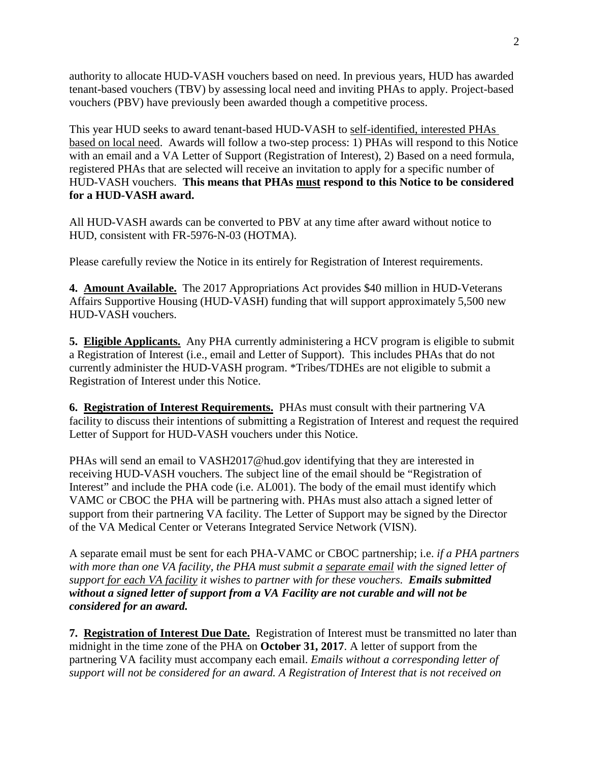authority to allocate HUD-VASH vouchers based on need. In previous years, HUD has awarded tenant-based vouchers (TBV) by assessing local need and inviting PHAs to apply. Project-based vouchers (PBV) have previously been awarded though a competitive process.

This year HUD seeks to award tenant-based HUD-VASH to self-identified, interested PHAs based on local need. Awards will follow a two-step process: 1) PHAs will respond to this Notice with an email and a VA Letter of Support (Registration of Interest), 2) Based on a need formula, registered PHAs that are selected will receive an invitation to apply for a specific number of HUD-VASH vouchers. **This means that PHAs must respond to this Notice to be considered for a HUD-VASH award.**

All HUD-VASH awards can be converted to PBV at any time after award without notice to HUD, consistent with FR-5976-N-03 (HOTMA).

Please carefully review the Notice in its entirely for Registration of Interest requirements.

**4. Amount Available.** The 2017 Appropriations Act provides \$40 million in HUD-Veterans Affairs Supportive Housing (HUD-VASH) funding that will support approximately 5,500 new HUD-VASH vouchers.

**5. Eligible Applicants.** Any PHA currently administering a HCV program is eligible to submit a Registration of Interest (i.e., email and Letter of Support). This includes PHAs that do not currently administer the HUD-VASH program. \*Tribes/TDHEs are not eligible to submit a Registration of Interest under this Notice.

**6. Registration of Interest Requirements.** PHAs must consult with their partnering VA facility to discuss their intentions of submitting a Registration of Interest and request the required Letter of Support for HUD-VASH vouchers under this Notice.

PHAs will send an email to VASH2017@hud.gov identifying that they are interested in receiving HUD-VASH vouchers. The subject line of the email should be "Registration of Interest" and include the PHA code (i.e. AL001). The body of the email must identify which VAMC or CBOC the PHA will be partnering with. PHAs must also attach a signed letter of support from their partnering VA facility. The Letter of Support may be signed by the Director of the VA Medical Center or Veterans Integrated Service Network (VISN).

A separate email must be sent for each PHA-VAMC or CBOC partnership; i.e. *if a PHA partners with more than one VA facility, the PHA must submit a separate email with the signed letter of support for each VA facility it wishes to partner with for these vouchers*. *Emails submitted without a signed letter of support from a VA Facility are not curable and will not be considered for an award.* 

**7. Registration of Interest Due Date.** Registration of Interest must be transmitted no later than midnight in the time zone of the PHA on **October 31, 2017**. A letter of support from the partnering VA facility must accompany each email. *Emails without a corresponding letter of support will not be considered for an award. A Registration of Interest that is not received on*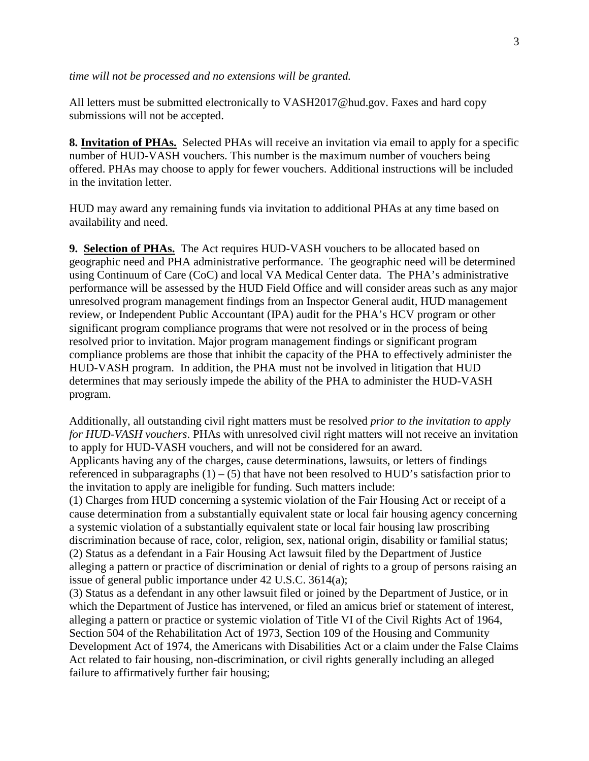All letters must be submitted electronically to VASH2017@hud.gov. Faxes and hard copy submissions will not be accepted.

**8. Invitation of PHAs.** Selected PHAs will receive an invitation via email to apply for a specific number of HUD-VASH vouchers. This number is the maximum number of vouchers being offered. PHAs may choose to apply for fewer vouchers. Additional instructions will be included in the invitation letter.

HUD may award any remaining funds via invitation to additional PHAs at any time based on availability and need.

**9. Selection of PHAs.** The Act requires HUD-VASH vouchers to be allocated based on geographic need and PHA administrative performance. The geographic need will be determined using Continuum of Care (CoC) and local VA Medical Center data. The PHA's administrative performance will be assessed by the HUD Field Office and will consider areas such as any major unresolved program management findings from an Inspector General audit, HUD management review, or Independent Public Accountant (IPA) audit for the PHA's HCV program or other significant program compliance programs that were not resolved or in the process of being resolved prior to invitation. Major program management findings or significant program compliance problems are those that inhibit the capacity of the PHA to effectively administer the HUD-VASH program. In addition, the PHA must not be involved in litigation that HUD determines that may seriously impede the ability of the PHA to administer the HUD-VASH program.

Additionally, all outstanding civil right matters must be resolved *prior to the invitation to apply for HUD-VASH vouchers*. PHAs with unresolved civil right matters will not receive an invitation to apply for HUD-VASH vouchers, and will not be considered for an award.

Applicants having any of the charges, cause determinations, lawsuits, or letters of findings referenced in subparagraphs  $(1) - (5)$  that have not been resolved to HUD's satisfaction prior to the invitation to apply are ineligible for funding. Such matters include:

(1) Charges from HUD concerning a systemic violation of the Fair Housing Act or receipt of a cause determination from a substantially equivalent state or local fair housing agency concerning a systemic violation of a substantially equivalent state or local fair housing law proscribing discrimination because of race, color, religion, sex, national origin, disability or familial status; (2) Status as a defendant in a Fair Housing Act lawsuit filed by the Department of Justice alleging a pattern or practice of discrimination or denial of rights to a group of persons raising an issue of general public importance under 42 U.S.C. 3614(a);

(3) Status as a defendant in any other lawsuit filed or joined by the Department of Justice, or in which the Department of Justice has intervened, or filed an amicus brief or statement of interest, alleging a pattern or practice or systemic violation of Title VI of the Civil Rights Act of 1964, Section 504 of the Rehabilitation Act of 1973, Section 109 of the Housing and Community Development Act of 1974, the Americans with Disabilities Act or a claim under the False Claims Act related to fair housing, non-discrimination, or civil rights generally including an alleged failure to affirmatively further fair housing;